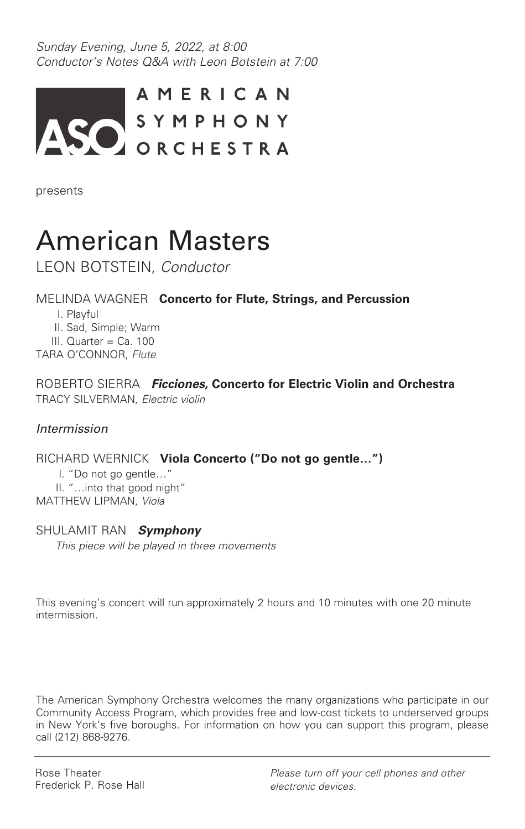Sunday Evening, June 5, 2022, at 8:00 Conductor's Notes Q&A with Leon Botstein at 7:00



presents

# American Masters

LEON BOTSTEIN, Conductor

## MELINDA WAGNER **Concerto for Flute, Strings, and Percussion**

I. Playful

II. Sad, Simple; Warm

III. Quarter = Ca. 100

TARA O'CONNOR, Flute

ROBERTO SIERRA **Ficciones, Concerto for Electric Violin and Orchestra** TRACY SILVERMAN, Electric violin

### Intermission

RICHARD WERNICK **Viola Concerto ("Do not go gentle…")** I. "Do not go gentle…" II. "…into that good night"

MATTHEW LIPMAN, Viola

## SHULAMIT RAN **Symphony**

This piece will be played in three movements

This evening's concert will run approximately 2 hours and 10 minutes with one 20 minute intermission.

The American Symphony Orchestra welcomes the many organizations who participate in our Community Access Program, which provides free and low-cost tickets to underserved groups in New York's five boroughs. For information on how you can support this program, please call (212) 868-9276.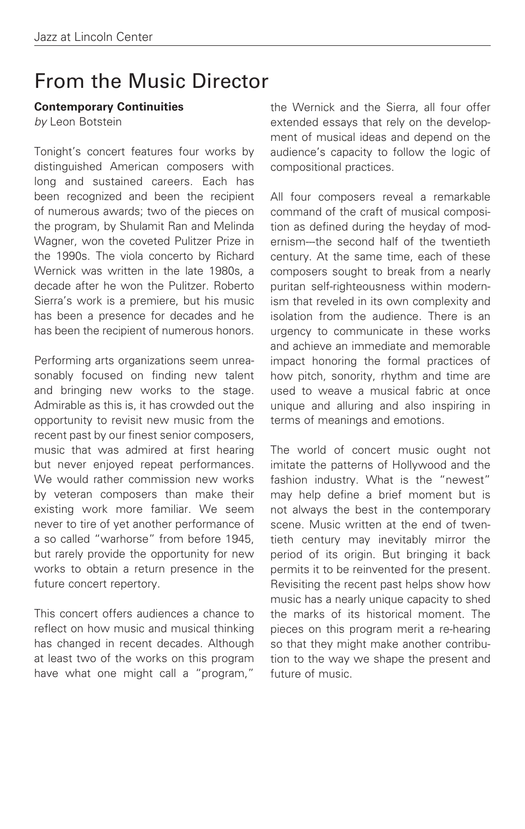## From the Music Director

#### **Contemporary Continuities**

by Leon Botstein

Tonight's concert features four works by distinguished American composers with long and sustained careers. Each has been recognized and been the recipient of numerous awards; two of the pieces on the program, by Shulamit Ran and Melinda Wagner, won the coveted Pulitzer Prize in the 1990s. The viola concerto by Richard Wernick was written in the late 1980s, a decade after he won the Pulitzer. Roberto Sierra's work is a premiere, but his music has been a presence for decades and he has been the recipient of numerous honors.

Performing arts organizations seem unreasonably focused on finding new talent and bringing new works to the stage. Admirable as this is, it has crowded out the opportunity to revisit new music from the recent past by our finest senior composers, music that was admired at first hearing but never enjoyed repeat performances. We would rather commission new works by veteran composers than make their existing work more familiar. We seem never to tire of yet another performance of a so called "warhorse" from before 1945, but rarely provide the opportunity for new works to obtain a return presence in the future concert repertory.

This concert offers audiences a chance to reflect on how music and musical thinking has changed in recent decades. Although at least two of the works on this program have what one might call a "program,"

the Wernick and the Sierra, all four offer extended essays that rely on the development of musical ideas and depend on the audience's capacity to follow the logic of compositional practices.

All four composers reveal a remarkable command of the craft of musical composition as defined during the heyday of modernism---the second half of the twentieth century. At the same time, each of these composers sought to break from a nearly puritan self-righteousness within modernism that reveled in its own complexity and isolation from the audience. There is an urgency to communicate in these works and achieve an immediate and memorable impact honoring the formal practices of how pitch, sonority, rhythm and time are used to weave a musical fabric at once unique and alluring and also inspiring in terms of meanings and emotions.

The world of concert music ought not imitate the patterns of Hollywood and the fashion industry. What is the "newest" may help define a brief moment but is not always the best in the contemporary scene. Music written at the end of twentieth century may inevitably mirror the period of its origin. But bringing it back permits it to be reinvented for the present. Revisiting the recent past helps show how music has a nearly unique capacity to shed the marks of its historical moment. The pieces on this program merit a re-hearing so that they might make another contribution to the way we shape the present and future of music.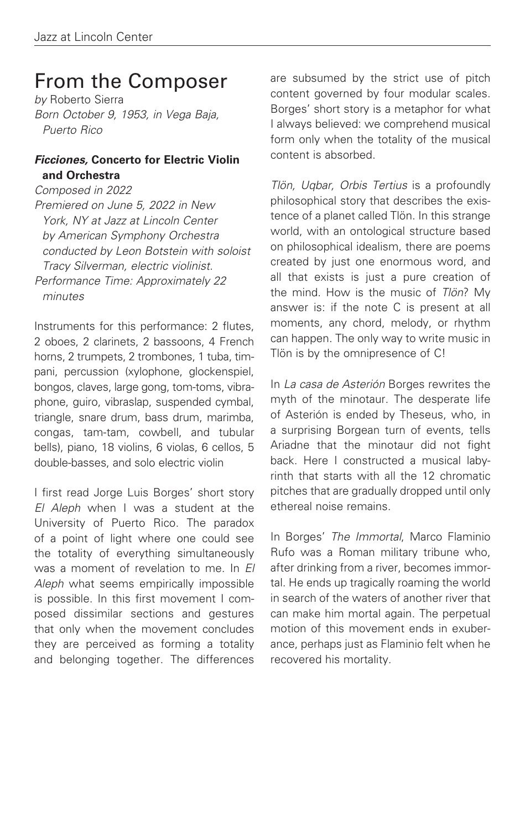## From the Composer

by Roberto Sierra Born October 9, 1953, in Vega Baja, Puerto Rico

### **Ficciones, Concerto for Electric Violin and Orchestra**

Composed in 2022 Premiered on June 5, 2022 in New York, NY at Jazz at Lincoln Center by American Symphony Orchestra conducted by Leon Botstein with soloist Tracy Silverman, electric violinist. Performance Time: Approximately 22 minutes

Instruments for this performance: 2 flutes, 2 oboes, 2 clarinets, 2 bassoons, 4 French horns, 2 trumpets, 2 trombones, 1 tuba, timpani, percussion (xylophone, glockenspiel, bongos, claves, large gong, tom-toms, vibraphone, guiro, vibraslap, suspended cymbal, triangle, snare drum, bass drum, marimba, congas, tam-tam, cowbell, and tubular bells), piano, 18 violins, 6 violas, 6 cellos, 5 double-basses, and solo electric violin

I first read Jorge Luis Borges' short story El Aleph when I was a student at the University of Puerto Rico. The paradox of a point of light where one could see the totality of everything simultaneously was a moment of revelation to me. In El Aleph what seems empirically impossible is possible. In this first movement I composed dissimilar sections and gestures that only when the movement concludes they are perceived as forming a totality and belonging together. The differences

are subsumed by the strict use of pitch content governed by four modular scales. Borges' short story is a metaphor for what I always believed: we comprehend musical form only when the totality of the musical content is absorbed.

Tlön, Uqbar, Orbis Tertius is a profoundly philosophical story that describes the existence of a planet called Tlön. In this strange world, with an ontological structure based on philosophical idealism, there are poems created by just one enormous word, and all that exists is just a pure creation of the mind. How is the music of Tlön? My answer is: if the note C is present at all moments, any chord, melody, or rhythm can happen. The only way to write music in Tlön is by the omnipresence of C!

In La casa de Asterión Borges rewrites the myth of the minotaur. The desperate life of Asterión is ended by Theseus, who, in a surprising Borgean turn of events, tells Ariadne that the minotaur did not fight back. Here I constructed a musical labyrinth that starts with all the 12 chromatic pitches that are gradually dropped until only ethereal noise remains.

In Borges' The Immortal, Marco Flaminio Rufo was a Roman military tribune who, after drinking from a river, becomes immortal. He ends up tragically roaming the world in search of the waters of another river that can make him mortal again. The perpetual motion of this movement ends in exuberance, perhaps just as Flaminio felt when he recovered his mortality.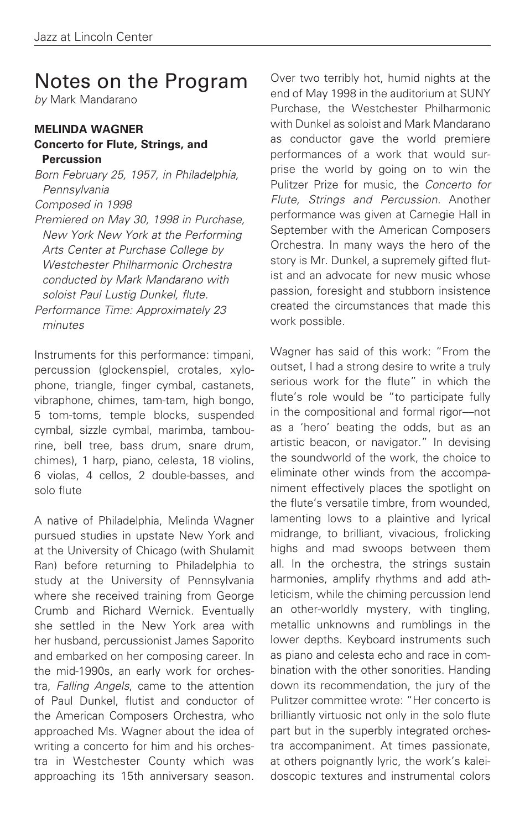## Notes on the Program

by Mark Mandarano

#### **MELINDA WAGNER Concerto for Flute, Strings, and Percussion**

Born February 25, 1957, in Philadelphia, **Pennsylvania** Composed in 1998 Premiered on May 30, 1998 in Purchase,

New York New York at the Performing Arts Center at Purchase College by Westchester Philharmonic Orchestra conducted by Mark Mandarano with soloist Paul Lustig Dunkel, flute. Performance Time: Approximately 23

minutes

Instruments for this performance: timpani, percussion (glockenspiel, crotales, xylophone, triangle, finger cymbal, castanets, vibraphone, chimes, tam-tam, high bongo, 5 tom-toms, temple blocks, suspended cymbal, sizzle cymbal, marimba, tambourine, bell tree, bass drum, snare drum, chimes), 1 harp, piano, celesta, 18 violins, 6 violas, 4 cellos, 2 double-basses, and solo flute

A native of Philadelphia, Melinda Wagner pursued studies in upstate New York and at the University of Chicago (with Shulamit Ran) before returning to Philadelphia to study at the University of Pennsylvania where she received training from George Crumb and Richard Wernick. Eventually she settled in the New York area with her husband, percussionist James Saporito and embarked on her composing career. In the mid-1990s, an early work for orchestra, Falling Angels, came to the attention of Paul Dunkel, flutist and conductor of the American Composers Orchestra, who approached Ms. Wagner about the idea of writing a concerto for him and his orchestra in Westchester County which was approaching its 15th anniversary season.

Over two terribly hot, humid nights at the end of May 1998 in the auditorium at SUNY Purchase, the Westchester Philharmonic with Dunkel as soloist and Mark Mandarano as conductor gave the world premiere performances of a work that would surprise the world by going on to win the Pulitzer Prize for music, the Concerto for Flute, Strings and Percussion. Another performance was given at Carnegie Hall in September with the American Composers Orchestra. In many ways the hero of the story is Mr. Dunkel, a supremely gifted flutist and an advocate for new music whose passion, foresight and stubborn insistence created the circumstances that made this work possible.

Wagner has said of this work: "From the outset, I had a strong desire to write a truly serious work for the flute" in which the flute's role would be "to participate fully in the compositional and formal rigor––not as a 'hero' beating the odds, but as an artistic beacon, or navigator." In devising the soundworld of the work, the choice to eliminate other winds from the accompaniment effectively places the spotlight on the flute's versatile timbre, from wounded, lamenting lows to a plaintive and lyrical midrange, to brilliant, vivacious, frolicking highs and mad swoops between them all. In the orchestra, the strings sustain harmonies, amplify rhythms and add athleticism, while the chiming percussion lend an other-worldly mystery, with tingling, metallic unknowns and rumblings in the lower depths. Keyboard instruments such as piano and celesta echo and race in combination with the other sonorities. Handing down its recommendation, the jury of the Pulitzer committee wrote: "Her concerto is brilliantly virtuosic not only in the solo flute part but in the superbly integrated orchestra accompaniment. At times passionate, at others poignantly lyric, the work's kaleidoscopic textures and instrumental colors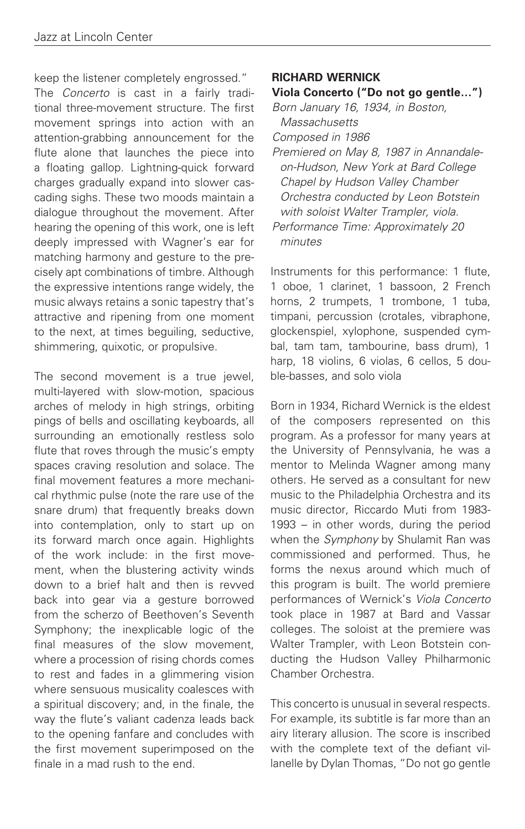keep the listener completely engrossed." The *Concerto* is cast in a fairly traditional three-movement structure. The first movement springs into action with an attention-grabbing announcement for the flute alone that launches the piece into a floating gallop. Lightning-quick forward charges gradually expand into slower cascading sighs. These two moods maintain a dialogue throughout the movement. After hearing the opening of this work, one is left deeply impressed with Wagner's ear for matching harmony and gesture to the precisely apt combinations of timbre. Although the expressive intentions range widely, the music always retains a sonic tapestry that's attractive and ripening from one moment to the next, at times beguiling, seductive, shimmering, quixotic, or propulsive.

The second movement is a true jewel, multi-layered with slow-motion, spacious arches of melody in high strings, orbiting pings of bells and oscillating keyboards, all surrounding an emotionally restless solo flute that roves through the music's empty spaces craving resolution and solace. The final movement features a more mechanical rhythmic pulse (note the rare use of the snare drum) that frequently breaks down into contemplation, only to start up on its forward march once again. Highlights of the work include: in the first movement, when the blustering activity winds down to a brief halt and then is revved back into gear via a gesture borrowed from the scherzo of Beethoven's Seventh Symphony; the inexplicable logic of the final measures of the slow movement, where a procession of rising chords comes to rest and fades in a glimmering vision where sensuous musicality coalesces with a spiritual discovery; and, in the finale, the way the flute's valiant cadenza leads back to the opening fanfare and concludes with the first movement superimposed on the finale in a mad rush to the end.

#### **RICHARD WERNICK**

#### **Viola Concerto ("Do not go gentle…")**

Born January 16, 1934, in Boston,

**Massachusetts** Composed in 1986

Premiered on May 8, 1987 in Annandaleon-Hudson, New York at Bard College Chapel by Hudson Valley Chamber Orchestra conducted by Leon Botstein with soloist Walter Trampler, viola. Performance Time: Approximately 20 minutes

Instruments for this performance: 1 flute, 1 oboe, 1 clarinet, 1 bassoon, 2 French horns, 2 trumpets, 1 trombone, 1 tuba, timpani, percussion (crotales, vibraphone, glockenspiel, xylophone, suspended cymbal, tam tam, tambourine, bass drum), 1 harp, 18 violins, 6 violas, 6 cellos, 5 double-basses, and solo viola

Born in 1934, Richard Wernick is the eldest of the composers represented on this program. As a professor for many years at the University of Pennsylvania, he was a mentor to Melinda Wagner among many others. He served as a consultant for new music to the Philadelphia Orchestra and its music director, Riccardo Muti from 1983- 1993 – in other words, during the period when the Symphony by Shulamit Ran was commissioned and performed. Thus, he forms the nexus around which much of this program is built. The world premiere performances of Wernick's Viola Concerto took place in 1987 at Bard and Vassar colleges. The soloist at the premiere was Walter Trampler, with Leon Botstein conducting the Hudson Valley Philharmonic Chamber Orchestra.

This concerto is unusual in several respects. For example, its subtitle is far more than an airy literary allusion. The score is inscribed with the complete text of the defiant villanelle by Dylan Thomas, "Do not go gentle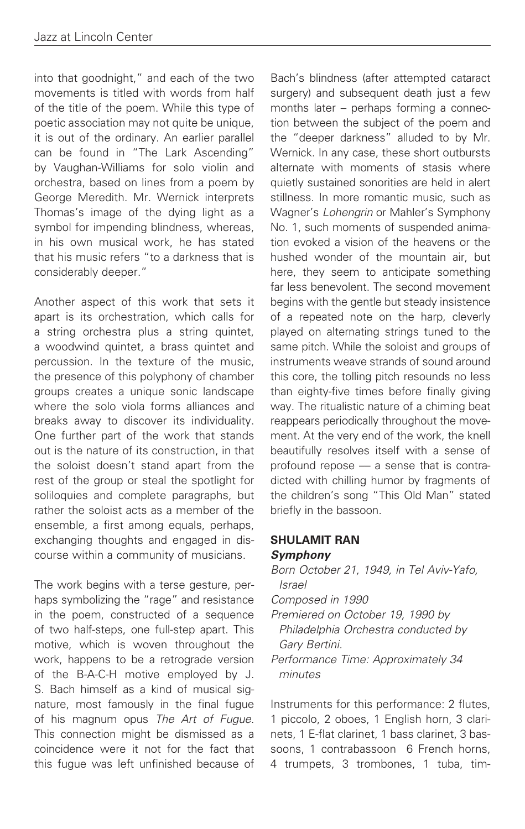into that goodnight," and each of the two movements is titled with words from half of the title of the poem. While this type of poetic association may not quite be unique, it is out of the ordinary. An earlier parallel can be found in "The Lark Ascending" by Vaughan-Williams for solo violin and orchestra, based on lines from a poem by George Meredith. Mr. Wernick interprets Thomas's image of the dying light as a symbol for impending blindness, whereas, in his own musical work, he has stated that his music refers "to a darkness that is considerably deeper."

Another aspect of this work that sets it apart is its orchestration, which calls for a string orchestra plus a string quintet, a woodwind quintet, a brass quintet and percussion. In the texture of the music, the presence of this polyphony of chamber groups creates a unique sonic landscape where the solo viola forms alliances and breaks away to discover its individuality. One further part of the work that stands out is the nature of its construction, in that the soloist doesn't stand apart from the rest of the group or steal the spotlight for soliloquies and complete paragraphs, but rather the soloist acts as a member of the ensemble, a first among equals, perhaps, exchanging thoughts and engaged in discourse within a community of musicians.

The work begins with a terse gesture, perhaps symbolizing the "rage" and resistance in the poem, constructed of a sequence of two half-steps, one full-step apart. This motive, which is woven throughout the work, happens to be a retrograde version of the B-A-C-H motive employed by J. S. Bach himself as a kind of musical signature, most famously in the final fugue of his magnum opus The Art of Fugue. This connection might be dismissed as a coincidence were it not for the fact that this fugue was left unfinished because of

Bach's blindness (after attempted cataract surgery) and subsequent death just a few months later – perhaps forming a connection between the subject of the poem and the "deeper darkness" alluded to by Mr. Wernick. In any case, these short outbursts alternate with moments of stasis where quietly sustained sonorities are held in alert stillness. In more romantic music, such as Wagner's Lohengrin or Mahler's Symphony No. 1, such moments of suspended animation evoked a vision of the heavens or the hushed wonder of the mountain air, but here, they seem to anticipate something far less benevolent. The second movement begins with the gentle but steady insistence of a repeated note on the harp, cleverly played on alternating strings tuned to the same pitch. While the soloist and groups of instruments weave strands of sound around this core, the tolling pitch resounds no less than eighty-five times before finally giving way. The ritualistic nature of a chiming beat reappears periodically throughout the movement. At the very end of the work, the knell beautifully resolves itself with a sense of profound repose –– a sense that is contradicted with chilling humor by fragments of the children's song "This Old Man" stated briefly in the bassoon.

### **SHULAMIT RAN Symphony**

Born October 21, 1949, in Tel Aviv-Yafo, Israel Composed in 1990 Premiered on October 19, 1990 by

Philadelphia Orchestra conducted by Gary Bertini.

Performance Time: Approximately 34 minutes

Instruments for this performance: 2 flutes, 1 piccolo, 2 oboes, 1 English horn, 3 clarinets, 1 E-flat clarinet, 1 bass clarinet, 3 bassoons, 1 contrabassoon 6 French horns, 4 trumpets, 3 trombones, 1 tuba, tim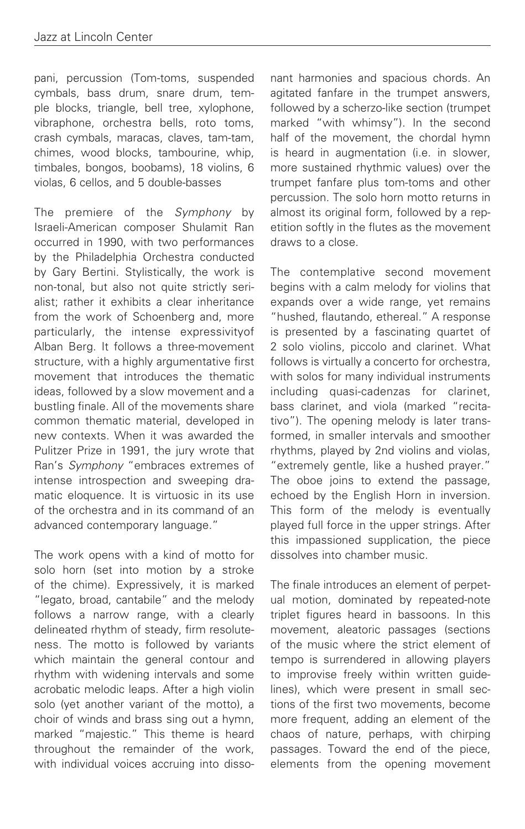pani, percussion (Tom-toms, suspended cymbals, bass drum, snare drum, temple blocks, triangle, bell tree, xylophone, vibraphone, orchestra bells, roto toms, crash cymbals, maracas, claves, tam-tam, chimes, wood blocks, tambourine, whip, timbales, bongos, boobams), 18 violins, 6 violas, 6 cellos, and 5 double-basses

The premiere of the Symphony by Israeli-American composer Shulamit Ran occurred in 1990, with two performances by the Philadelphia Orchestra conducted by Gary Bertini. Stylistically, the work is non-tonal, but also not quite strictly serialist; rather it exhibits a clear inheritance from the work of Schoenberg and, more particularly, the intense expressivityof Alban Berg. It follows a three-movement structure, with a highly argumentative first movement that introduces the thematic ideas, followed by a slow movement and a bustling finale. All of the movements share common thematic material, developed in new contexts. When it was awarded the Pulitzer Prize in 1991, the jury wrote that Ran's Symphony "embraces extremes of intense introspection and sweeping dramatic eloquence. It is virtuosic in its use of the orchestra and in its command of an advanced contemporary language."

The work opens with a kind of motto for solo horn (set into motion by a stroke of the chime). Expressively, it is marked "legato, broad, cantabile" and the melody follows a narrow range, with a clearly delineated rhythm of steady, firm resoluteness. The motto is followed by variants which maintain the general contour and rhythm with widening intervals and some acrobatic melodic leaps. After a high violin solo (yet another variant of the motto), a choir of winds and brass sing out a hymn, marked "majestic." This theme is heard throughout the remainder of the work, with individual voices accruing into dissonant harmonies and spacious chords. An agitated fanfare in the trumpet answers, followed by a scherzo-like section (trumpet marked "with whimsy"). In the second half of the movement, the chordal hymn is heard in augmentation (i.e. in slower, more sustained rhythmic values) over the trumpet fanfare plus tom-toms and other percussion. The solo horn motto returns in almost its original form, followed by a repetition softly in the flutes as the movement draws to a close.

The contemplative second movement begins with a calm melody for violins that expands over a wide range, yet remains "hushed, flautando, ethereal." A response is presented by a fascinating quartet of 2 solo violins, piccolo and clarinet. What follows is virtually a concerto for orchestra, with solos for many individual instruments including quasi-cadenzas for clarinet, bass clarinet, and viola (marked "recitativo"). The opening melody is later transformed, in smaller intervals and smoother rhythms, played by 2nd violins and violas, "extremely gentle, like a hushed prayer." The oboe joins to extend the passage, echoed by the English Horn in inversion. This form of the melody is eventually played full force in the upper strings. After this impassioned supplication, the piece dissolves into chamber music.

The finale introduces an element of perpetual motion, dominated by repeated-note triplet figures heard in bassoons. In this movement, aleatoric passages (sections of the music where the strict element of tempo is surrendered in allowing players to improvise freely within written guidelines), which were present in small sections of the first two movements, become more frequent, adding an element of the chaos of nature, perhaps, with chirping passages. Toward the end of the piece, elements from the opening movement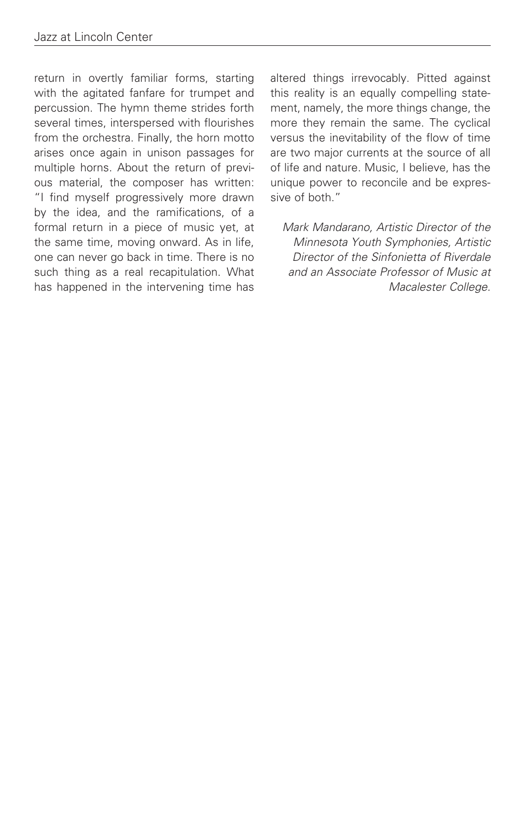return in overtly familiar forms, starting with the agitated fanfare for trumpet and percussion. The hymn theme strides forth several times, interspersed with flourishes from the orchestra. Finally, the horn motto arises once again in unison passages for multiple horns. About the return of previous material, the composer has written: "I find myself progressively more drawn by the idea, and the ramifications, of a formal return in a piece of music yet, at the same time, moving onward. As in life, one can never go back in time. There is no such thing as a real recapitulation. What has happened in the intervening time has

altered things irrevocably. Pitted against this reality is an equally compelling statement, namely, the more things change, the more they remain the same. The cyclical versus the inevitability of the flow of time are two major currents at the source of all of life and nature. Music, I believe, has the unique power to reconcile and be expressive of both."

Mark Mandarano, Artistic Director of the Minnesota Youth Symphonies, Artistic Director of the Sinfonietta of Riverdale and an Associate Professor of Music at Macalester College.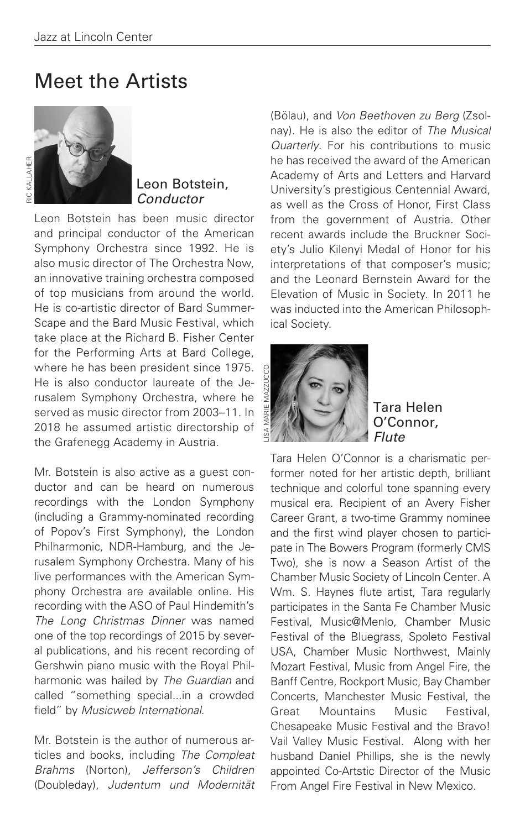## Meet the Artists



### Leon Botstein, Conductor

Leon Botstein has been music director and principal conductor of the American Symphony Orchestra since 1992. He is also music director of The Orchestra Now, an innovative training orchestra composed of top musicians from around the world. He is co-artistic director of Bard Summer-Scape and the Bard Music Festival, which take place at the Richard B. Fisher Center for the Performing Arts at Bard College, where he has been president since 1975. He is also conductor laureate of the Jerusalem Symphony Orchestra, where he served as music director from 2003–11. In 2018 he assumed artistic directorship of the Grafenegg Academy in Austria.

Mr. Botstein is also active as a guest conductor and can be heard on numerous recordings with the London Symphony (including a Grammy-nominated recording of Popov's First Symphony), the London Philharmonic, NDR-Hamburg, and the Jerusalem Symphony Orchestra. Many of his live performances with the American Symphony Orchestra are available online. His recording with the ASO of Paul Hindemith's The Long Christmas Dinner was named one of the top recordings of 2015 by several publications, and his recent recording of Gershwin piano music with the Royal Philharmonic was hailed by The Guardian and called "something special...in a crowded field" by Musicweb International.

Mr. Botstein is the author of numerous articles and books, including The Compleat Brahms (Norton), Jefferson's Children (Doubleday), Judentum und Modernität (Bölau), and Von Beethoven zu Berg (Zsolnay). He is also the editor of The Musical Quarterly. For his contributions to music he has received the award of the American Academy of Arts and Letters and Harvard University's prestigious Centennial Award, as well as the Cross of Honor, First Class from the government of Austria. Other recent awards include the Bruckner Society's Julio Kilenyi Medal of Honor for his interpretations of that composer's music; and the Leonard Bernstein Award for the Elevation of Music in Society. In 2011 he was inducted into the American Philosophical Society.



Tara Helen O'Connor, **Flute** 

Tara Helen O'Connor is a charismatic performer noted for her artistic depth, brilliant technique and colorful tone spanning every musical era. Recipient of an Avery Fisher Career Grant, a two-time Grammy nominee and the first wind player chosen to participate in The Bowers Program (formerly CMS Two), she is now a Season Artist of the Chamber Music Society of Lincoln Center. A Wm. S. Haynes flute artist, Tara regularly participates in the Santa Fe Chamber Music Festival, Music@Menlo, Chamber Music Festival of the Bluegrass, Spoleto Festival USA, Chamber Music Northwest, Mainly Mozart Festival, Music from Angel Fire, the Banff Centre, Rockport Music, Bay Chamber Concerts, Manchester Music Festival, the Great Mountains Music Festival, Chesapeake Music Festival and the Bravo! Vail Valley Music Festival. Along with her husband Daniel Phillips, she is the newly appointed Co-Artstic Director of the Music From Angel Fire Festival in New Mexico.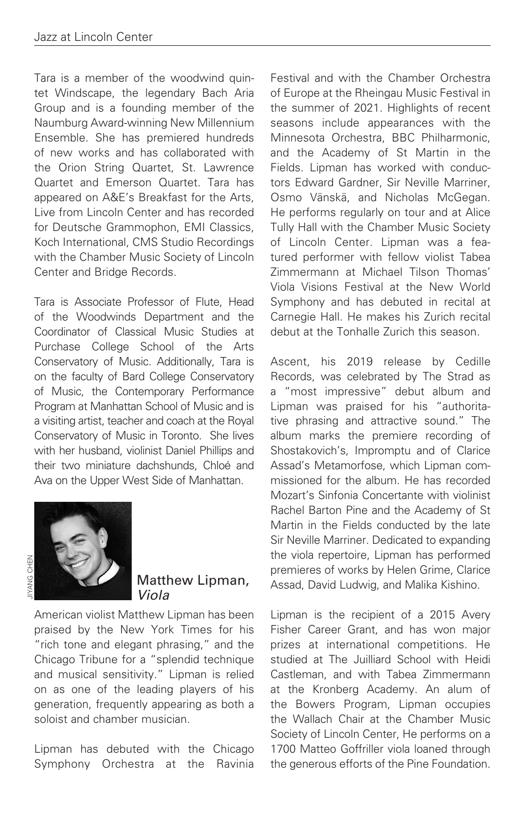Tara is a member of the woodwind quintet Windscape, the legendary Bach Aria Group and is a founding member of the Naumburg Award-winning New Millennium Ensemble. She has premiered hundreds of new works and has collaborated with the Orion String Quartet, St. Lawrence Quartet and Emerson Quartet. Tara has appeared on A&E's Breakfast for the Arts, Live from Lincoln Center and has recorded for Deutsche Grammophon, EMI Classics, Koch International, CMS Studio Recordings with the Chamber Music Society of Lincoln Center and Bridge Records.

Tara is Associate Professor of Flute, Head of the Woodwinds Department and the Coordinator of Classical Music Studies at Purchase College School of the Arts Conservatory of Music. Additionally, Tara is on the faculty of Bard College Conservatory of Music, the Contemporary Performance Program at Manhattan School of Music and is a visiting artist, teacher and coach at the Royal Conservatory of Music in Toronto. She lives with her husband, violinist Daniel Phillips and their two miniature dachshunds, Chloé and Ava on the Upper West Side of Manhattan.



#### Matthew Lipman, Viola

American violist Matthew Lipman has been praised by the New York Times for his "rich tone and elegant phrasing," and the Chicago Tribune for a "splendid technique and musical sensitivity." Lipman is relied on as one of the leading players of his generation, frequently appearing as both a soloist and chamber musician.

Lipman has debuted with the Chicago Symphony Orchestra at the Ravinia Festival and with the Chamber Orchestra of Europe at the Rheingau Music Festival in the summer of 2021. Highlights of recent seasons include appearances with the Minnesota Orchestra, BBC Philharmonic, and the Academy of St Martin in the Fields. Lipman has worked with conductors Edward Gardner, Sir Neville Marriner, Osmo Vänskä, and Nicholas McGegan. He performs regularly on tour and at Alice Tully Hall with the Chamber Music Society of Lincoln Center. Lipman was a featured performer with fellow violist Tabea Zimmermann at Michael Tilson Thomas' Viola Visions Festival at the New World Symphony and has debuted in recital at Carnegie Hall. He makes his Zurich recital debut at the Tonhalle Zurich this season.

Ascent, his 2019 release by Cedille Records, was celebrated by The Strad as a "most impressive" debut album and Lipman was praised for his "authoritative phrasing and attractive sound." The album marks the premiere recording of Shostakovich's, Impromptu and of Clarice Assad's Metamorfose, which Lipman commissioned for the album. He has recorded Mozart's Sinfonia Concertante with violinist Rachel Barton Pine and the Academy of St Martin in the Fields conducted by the late Sir Neville Marriner. Dedicated to expanding the viola repertoire, Lipman has performed premieres of works by Helen Grime, Clarice Assad, David Ludwig, and Malika Kishino.

Lipman is the recipient of a 2015 Avery Fisher Career Grant, and has won major prizes at international competitions. He studied at The Juilliard School with Heidi Castleman, and with Tabea Zimmermann at the Kronberg Academy. An alum of the Bowers Program, Lipman occupies the Wallach Chair at the Chamber Music Society of Lincoln Center, He performs on a 1700 Matteo Goffriller viola loaned through the generous efforts of the Pine Foundation.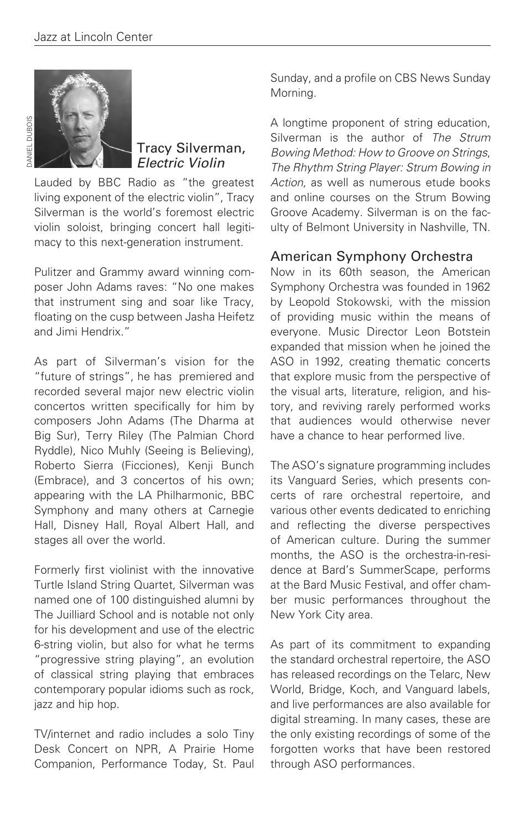

## Tracy Silverman, Electric Violin

Lauded by BBC Radio as "the greatest living exponent of the electric violin", Tracy Silverman is the world's foremost electric violin soloist, bringing concert hall legitimacy to this next-generation instrument.

Pulitzer and Grammy award winning composer John Adams raves: "No one makes that instrument sing and soar like Tracy, floating on the cusp between Jasha Heifetz and Jimi Hendrix."

As part of Silverman's vision for the "future of strings", he has premiered and recorded several major new electric violin concertos written specifically for him by composers John Adams (The Dharma at Big Sur), Terry Riley (The Palmian Chord Ryddle), Nico Muhly (Seeing is Believing), Roberto Sierra (Ficciones), Kenji Bunch (Embrace), and 3 concertos of his own; appearing with the LA Philharmonic, BBC Symphony and many others at Carnegie Hall, Disney Hall, Royal Albert Hall, and stages all over the world.

Formerly first violinist with the innovative Turtle Island String Quartet, Silverman was named one of 100 distinguished alumni by The Juilliard School and is notable not only for his development and use of the electric 6-string violin, but also for what he terms "progressive string playing", an evolution of classical string playing that embraces contemporary popular idioms such as rock, jazz and hip hop.

TV/internet and radio includes a solo Tiny Desk Concert on NPR, A Prairie Home Companion, Performance Today, St. Paul Sunday, and a profile on CBS News Sunday Morning.

A longtime proponent of string education, Silverman is the author of The Strum Bowing Method: How to Groove on Strings, The Rhythm String Player: Strum Bowing in Action, as well as numerous etude books and online courses on the Strum Bowing Groove Academy. Silverman is on the faculty of Belmont University in Nashville, TN.

## American Symphony Orchestra

Now in its 60th season, the American Symphony Orchestra was founded in 1962 by Leopold Stokowski, with the mission of providing music within the means of everyone. Music Director Leon Botstein expanded that mission when he joined the ASO in 1992, creating thematic concerts that explore music from the perspective of the visual arts, literature, religion, and history, and reviving rarely performed works that audiences would otherwise never have a chance to hear performed live.

The ASO's signature programming includes its Vanguard Series, which presents concerts of rare orchestral repertoire, and various other events dedicated to enriching and reflecting the diverse perspectives of American culture. During the summer months, the ASO is the orchestra-in-residence at Bard's SummerScape, performs at the Bard Music Festival, and offer chamber music performances throughout the New York City area.

As part of its commitment to expanding the standard orchestral repertoire, the ASO has released recordings on the Telarc, New World, Bridge, Koch, and Vanguard labels, and live performances are also available for digital streaming. In many cases, these are the only existing recordings of some of the forgotten works that have been restored through ASO performances.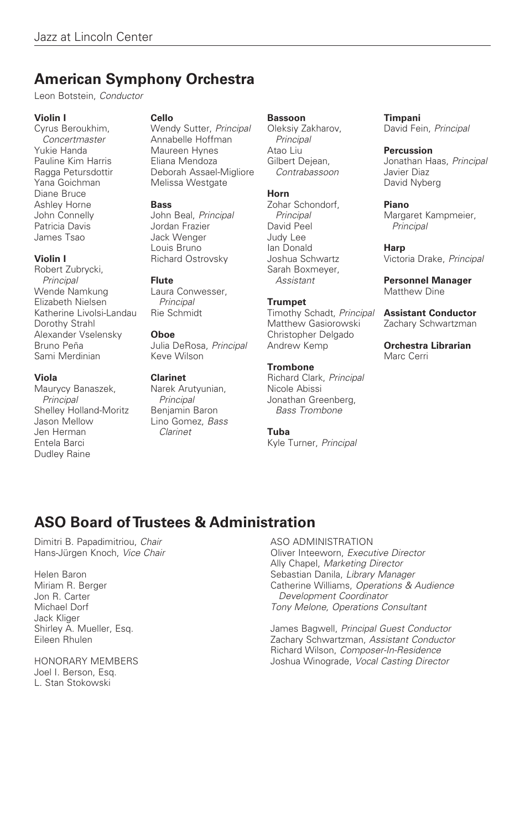## **American Symphony Orchestra**

Leon Botstein, Conductor

#### **Violin I**

Cyrus Beroukhim, Concertmaster Yukie Handa Pauline Kim Harris Ragga Petursdottir Yana Goichman Diane Bruce Ashley Horne John Connelly Patricia Davis James Tsao

#### **Violin I**

Robert Zubrycki, Principal Wende Namkung Elizabeth Nielsen Katherine Livolsi-Landau Dorothy Strahl Alexander Vselensky Bruno Peña Sami Merdinian

#### **Viola**

Maurycy Banaszek, Principal Shelley Holland-Moritz Jason Mellow Jen Herman Entela Barci Dudley Raine

#### **Cello**

Wendy Sutter, Principal Annabelle Hoffman Maureen Hynes Eliana Mendoza Deborah Assael-Migliore Melissa Westgate

#### **Bass**

John Beal, Principal Jordan Frazier Jack Wenger Louis Bruno Richard Ostrovsky

#### **Flute**

Laura Conwesser, **Principal** Rie Schmidt

#### **Oboe**

Julia DeRosa, Principal Keve Wilson

#### **Clarinet**

Narek Arutyunian, **Principal** Benjamin Baron Lino Gomez, Bass Clarinet

#### **Bassoon**

Oleksiy Zakharov, Principal Atao Liu Gilbert Dejean, Contrabassoon

#### **Horn**

Zohar Schondorf, **Principal** David Peel Judy Lee Ian Donald Joshua Schwartz Sarah Boxmeyer, Assistant

#### **Trumpet**

Timothy Schadt, Principal Matthew Gasiorowski Christopher Delgado Andrew Kemp

#### **Trombone**

Richard Clark, Principal Nicole Abissi Jonathan Greenberg, Bass Trombone

#### **Tuba**

Kyle Turner, Principal

#### **Timpani**

David Fein, Principal

#### **Percussion**

Jonathan Haas, Principal Javier Diaz David Nyberg

#### **Piano**

Margaret Kampmeier, **Principal** 

#### **Harp**

Victoria Drake, Principal

**Personnel Manager**  Matthew Dine

**Assistant Conductor**  Zachary Schwartzman

**Orchestra Librarian**  Marc Cerri

## **ASO Board of Trustees & Administration**

Dimitri B. Papadimitriou, Chair Hans-Jürgen Knoch, Vice Chair

Helen Baron Miriam R. Berger Jon R. Carter Michael Dorf Jack Kliger Shirley A. Mueller, Esq. Eileen Rhulen

HONORARY MEMBERS Joel I. Berson, Esq. L. Stan Stokowski

#### ASO ADMINISTRATION Oliver Inteeworn, Executive Director

Ally Chapel, Marketing Director Sebastian Danila, Library Manager Catherine Williams, Operations & Audience Development Coordinator Tony Melone, Operations Consultant

James Bagwell, Principal Guest Conductor Zachary Schwartzman, Assistant Conductor Richard Wilson, Composer-In-Residence Joshua Winograde, Vocal Casting Director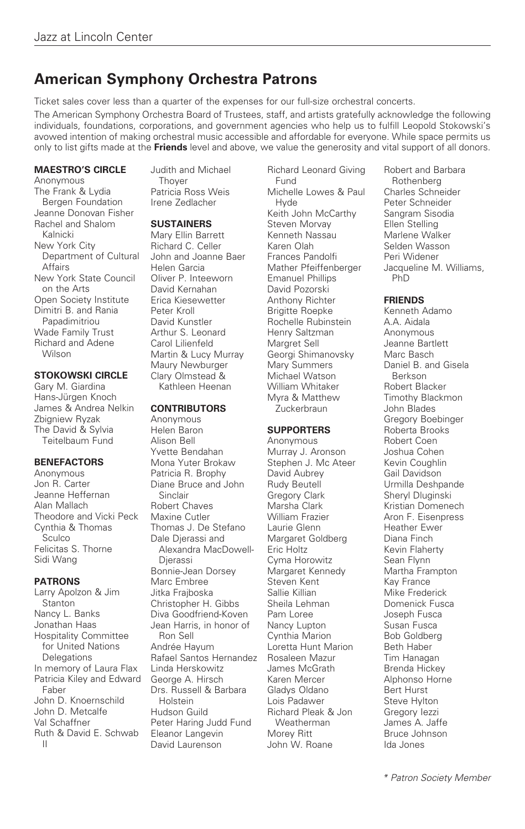## **American Symphony Orchestra Patrons**

Ticket sales cover less than a quarter of the expenses for our full-size orchestral concerts. The American Symphony Orchestra Board of Trustees, staff, and artists gratefully acknowledge the following individuals, foundations, corporations, and government agencies who help us to fulfill Leopold Stokowski's avowed intention of making orchestral music accessible and affordable for everyone. While space permits us only to list gifts made at the **Friends** level and above, we value the generosity and vital support of all donors.

#### **MAESTRO'S CIRCLE**

Anonymous The Frank & Lydia Bergen Foundation Jeanne Donovan Fisher Rachel and Shalom Kalnicki New York City Department of Cultural Affairs New York State Council on the Arts Open Society Institute Dimitri B. and Rania Papadimitriou Wade Family Trust Richard and Adene Wilson

#### **STOKOWSKI CIRCLE**

Gary M. Giardina Hans-Jürgen Knoch James & Andrea Nelkin Zbigniew Ryzak The David & Sylvia Teitelbaum Fund

#### **BENEFACTORS**

Anonymous Jon R. Carter Jeanne Heffernan Alan Mallach Theodore and Vicki Peck Cynthia & Thomas Sculco Felicitas S. Thorne Sidi Wang

#### **PATRONS**

Larry Apolzon & Jim Stanton Nancy L. Banks Jonathan Haas Hospitality Committee for United Nations Delegations In memory of Laura Flax Patricia Kiley and Edward Faber John D. Knoernschild John D. Metcalfe Val Schaffner Ruth & David E. Schwab II

Judith and Michael **Thover** Patricia Ross Weis Irene Zedlacher

#### **SUSTAINERS**

Mary Ellin Barrett Richard C. Celler John and Joanne Baer Helen Garcia Oliver P. Inteeworn David Kernahan Erica Kiesewetter Peter Kroll David Kunstler Arthur S. Leonard Carol Lilienfeld Martin & Lucy Murray Maury Newburger Clary Olmstead & Kathleen Heenan

#### **CONTRIBUTORS**

Anonymous Helen Baron Alison Bell Yvette Bendahan Mona Yuter Brokaw Patricia R. Brophy Diane Bruce and John Sinclair Robert Chaves Maxine Cutler Thomas J. De Stefano Dale Djerassi and Alexandra MacDowell-Djerassi Bonnie-Jean Dorsey Marc Embree Jitka Frajboska Christopher H. Gibbs Diva Goodfriend-Koven Jean Harris, in honor of Ron Sell Andrée Hayum Rafael Santos Hernandez Linda Herskowitz George A. Hirsch Drs. Russell & Barbara Holstein Hudson Guild Peter Haring Judd Fund Eleanor Langevin David Laurenson

Richard Leonard Giving Fund Michelle Lowes & Paul Hyde Keith John McCarthy Steven Morvay Kenneth Nassau Karen Olah Frances Pandolfi Mather Pfeiffenberger Emanuel Phillips David Pozorski Anthony Richter Brigitte Roepke Rochelle Rubinstein Henry Saltzman Margret Sell Georgi Shimanovsky Mary Summers Michael Watson William Whitaker Myra & Matthew **Zuckerbraun** 

#### **SUPPORTERS**

Anonymous Murray J. Aronson Stephen J. Mc Ateer David Aubrey Rudy Beutell Gregory Clark Marsha Clark William Frazier Laurie Glenn Margaret Goldberg Eric Holtz Cyma Horowitz Margaret Kennedy Steven Kent Sallie Killian Sheila Lehman Pam Loree Nancy Lupton Cynthia Marion Loretta Hunt Marion Rosaleen Mazur James McGrath Karen Mercer Gladys Oldano Lois Padawer Richard Pleak & Jon Weatherman Morey Ritt John W. Roane

Robert and Barbara **Rothenberg** Charles Schneider Peter Schneider Sangram Sisodia Ellen Stelling Marlene Walker Selden Wasson Peri Widener Jacqueline M. Williams, PhD

#### **FRIENDS**

Kenneth Adamo A.A. Aidala Anonymous Jeanne Bartlett Marc Basch Daniel B. and Gisela Berkson Robert Blacker Timothy Blackmon John Blades Gregory Boebinger Roberta Brooks Robert Coen Joshua Cohen Kevin Coughlin Gail Davidson Urmilla Deshpande Sheryl Dluginski Kristian Domenech Aron F. Eisenpress Heather Ewer Diana Finch Kevin Flaherty Sean Flynn Martha Frampton Kay France Mike Frederick Domenick Fusca Joseph Fusca Susan Fusca Bob Goldberg Beth Haber Tim Hanagan Brenda Hickey Alphonso Horne Bert Hurst Steve Hylton Gregory Iezzi James A. Jaffe Bruce Johnson Ida Jones